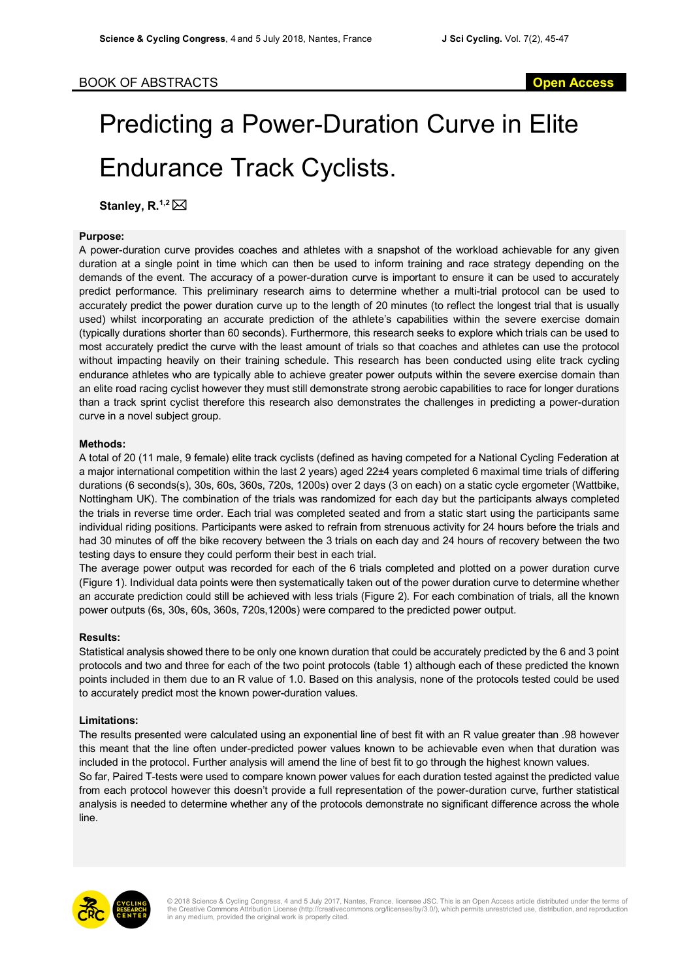# Predicting a Power-Duration Curve in Elite Endurance Track Cyclists.

**Stanley, R.**<sup>1,2</sup> ⊠

### **Purpose:**

A power-duration curve provides coaches and athletes with a snapshot of the workload achievable for any given duration at a single point in time which can then be used to inform training and race strategy depending on the demands of the event. The accuracy of a power-duration curve is important to ensure it can be used to accurately predict performance. This preliminary research aims to determine whether a multi-trial protocol can be used to accurately predict the power duration curve up to the length of 20 minutes (to reflect the longest trial that is usually used) whilst incorporating an accurate prediction of the athlete's capabilities within the severe exercise domain (typically durations shorter than 60 seconds). Furthermore, this research seeks to explore which trials can be used to most accurately predict the curve with the least amount of trials so that coaches and athletes can use the protocol without impacting heavily on their training schedule. This research has been conducted using elite track cycling endurance athletes who are typically able to achieve greater power outputs within the severe exercise domain than an elite road racing cyclist however they must still demonstrate strong aerobic capabilities to race for longer durations than a track sprint cyclist therefore this research also demonstrates the challenges in predicting a power-duration curve in a novel subject group.

### **Methods:**

A total of 20 (11 male, 9 female) elite track cyclists (defined as having competed for a National Cycling Federation at a major international competition within the last 2 years) aged 22±4 years completed 6 maximal time trials of differing durations (6 seconds(s), 30s, 60s, 360s, 720s, 1200s) over 2 days (3 on each) on a static cycle ergometer (Wattbike, Nottingham UK). The combination of the trials was randomized for each day but the participants always completed the trials in reverse time order. Each trial was completed seated and from a static start using the participants same individual riding positions. Participants were asked to refrain from strenuous activity for 24 hours before the trials and had 30 minutes of off the bike recovery between the 3 trials on each day and 24 hours of recovery between the two testing days to ensure they could perform their best in each trial.

The average power output was recorded for each of the 6 trials completed and plotted on a power duration curve (Figure 1). Individual data points were then systematically taken out of the power duration curve to determine whether an accurate prediction could still be achieved with less trials (Figure 2). For each combination of trials, all the known power outputs (6s, 30s, 60s, 360s, 720s,1200s) were compared to the predicted power output.

#### **Results:**

Statistical analysis showed there to be only one known duration that could be accurately predicted by the 6 and 3 point protocols and two and three for each of the two point protocols (table 1) although each of these predicted the known points included in them due to an R value of 1.0. Based on this analysis, none of the protocols tested could be used to accurately predict most the known power-duration values.

## **Limitations:**

The results presented were calculated using an exponential line of best fit with an R value greater than .98 however this meant that the line often under-predicted power values known to be achievable even when that duration was included in the protocol. Further analysis will amend the line of best fit to go through the highest known values. So far, Paired T-tests were used to compare known power values for each duration tested against the predicted value from each protocol however this doesn't provide a full representation of the power-duration curve, further statistical analysis is needed to determine whether any of the protocols demonstrate no significant difference across the whole line.



© 2018 Science & Cycling Congress, 4 and 5 July 2017, Nantes, France. licensee JSC. This is an Open Access article distributed under the terms of the Creative Commons Attribution License (http://creativecommons.org/licenses/by/3.0/), which permits unrestricted use, distribution, and reproduction in any medium, provided the original work is properly cited.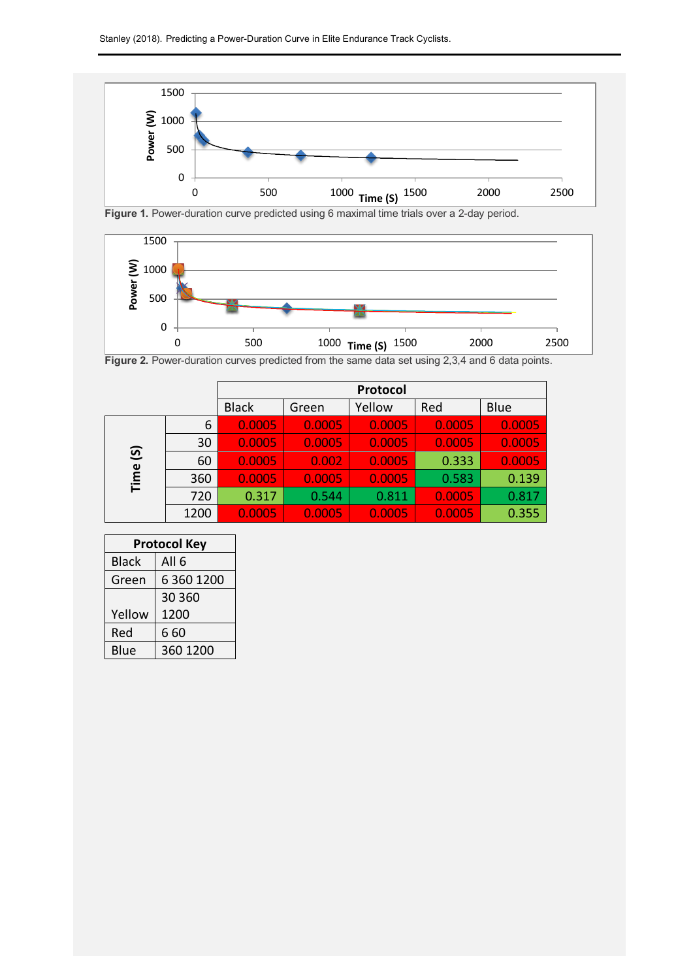

Figure 1. Power-duration curve predicted using 6 maximal time trials over a 2-day period.



**Figure 2.** Power-duration curves predicted from the same data set using 2,3,4 and 6 data points.

|                        |      | Protocol     |        |        |        |        |
|------------------------|------|--------------|--------|--------|--------|--------|
|                        |      | <b>Black</b> | Green  | Yellow | Red    | Blue   |
| $\overline{S}$<br>Time | 6    | 0.0005       | 0.0005 | 0.0005 | 0.0005 | 0.0005 |
|                        | 30   | 0.0005       | 0.0005 | 0.0005 | 0.0005 | 0.0005 |
|                        | 60   | 0.0005       | 0.002  | 0.0005 | 0.333  | 0.0005 |
|                        | 360  | 0.0005       | 0.0005 | 0.0005 | 0.583  | 0.139  |
|                        | 720  | 0.317        | 0.544  | 0.811  | 0.0005 | 0.817  |
|                        | 1200 | 0.0005       | 0.0005 | 0.0005 | 0.0005 | 0.355  |

| <b>Protocol Key</b> |                  |  |  |
|---------------------|------------------|--|--|
| <b>Black</b>        | All <sub>6</sub> |  |  |
| Green               | 6 3 6 12 0 0     |  |  |
|                     | 30 360           |  |  |
| Yellow              | 1200             |  |  |
| Red                 | 660              |  |  |
| Blue                | 360 1200         |  |  |